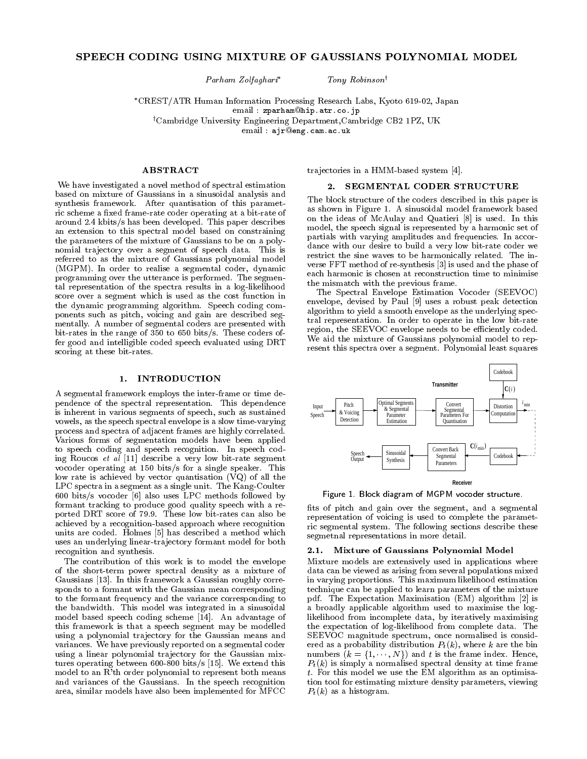# SPEECH CODING USING MIXTURE OF GAUSSIANS POLYNOMIAL MODEL

 $Parnam Zolfaghar<sup>*</sup>$  Tony Robinson<sup>†</sup>

CREST/ATR Human Information Processing Research Labs, Kyoto 619-02, Japan email : zparham@hip.atr.co.jp

<sup>†</sup>Cambridge University Engineering Department,Cambridge CB2 1PZ, UK

email : ajr@eng.cam.ac.uk

## ABSTRACT

We have investigated a novel method of spectral estimation based on mixture of Gaussians in a sinusoidal analysis and synthesis framework. After quantisation of this parametric scheme a fixed frame-rate coder operating at a bit-rate of around 2.4 kbits/s has been developed. This paper describes an extension to this spectral model based on constraining the parameters of the mixture of Gaussians to be on a polynomial trajectory over a segment of speech data. This is referred to as the mixture of Gaussians polynomial model (MGPM). In order to realise a segmental coder, dynamic programming over the utterance is performed. The segmental representation of the spectra results in a log-likelihood score over a segment which is used as the cost function in the dynamic programming algorithm. Speech coding components such as pitch, voicing and gain are described seg mentally. A number of segmental coders are presented with bit-rates in the range of 350 to 650 bits/s. These coders offer good and intelligible coded speech evaluated using DRT scoring at these bit-rates.

## 1. INTRODUCTION

A segmental framework employs the inter-frame or time dependence of the spectral representation. This dependence is inherent in various segments of speech, such as sustained vowels, as the speech spectral envelope is a slow time-varying process and spectra of adjacent frames are highly correlated. Various forms of segmentation models have been applied to speech coding and speech recognition. In speech coding Roucos et  $al$  [11] describe a very low bit-rate segment vocoder operating at 150 bits/s for a single speaker. This low rate is achieved by vector quantisation (VQ) of all the LPC spectra in a segment as a single unit. The Kang-Coulter 600 bits/s vocoder [6] also uses LPC methods followed by formant tracking to produce good quality speech with a reported DRT score of 79.9. These low bit-rates can also be achieved by a recognition-based approach where recognition units are coded. Holmes [5] has described a method which uses an underlying linear-trajectory formant model for both recognition and synthesis.

The contribution of this work is to model the envelope of the short-term power spectral density as a mixture of Gaussians [13]. In this framework a Gaussian roughly corresponds to a formant with the Gaussian mean corresponding to the formant frequency and the variance corresponding to the bandwidth. This model was integrated in a sinusoidal model based speech coding scheme [14]. An advantage of this framework is that a speech segment may be modelled using a polynomial trajectory for the Gaussian means and variances. We have previously reported on a segmental coder using a linear polynomial trajectory for the Gaussian mixtures operating between 600-800 bits/s [15]. We extend this model to an R'th order polynomial to represent both means and variances of the Gaussians. In the speech recognition area, similar models have also been implemented for MFCC

trajectories in a HMM-based system [4].

## 2. SEGMENTAL CODER STRUCTURE

The block structure of the coders described in this paper is as shown in Figure 1. A sinusoidal model framework based on the ideas of McAulay and Quatieri [8] is used. In this model, the speech signal is represented by a harmonic set of partials with varying amplitudes and frequencies. In accordance with our desire to build a very low bit-rate coder we restrict the sine waves to be harmonically related. The in verse FFT method of re-synthesis [3] is used and the phase of each harmonic is chosen at reconstruction time to minimise the mismatch with the previous frame.

The Spectral Envelope Estimation Vocoder (SEEVOC) envelope, devised by Paul [9] uses a robust peak detection algorithm to yield a smooth envelope as the underlying spectral representation. In order to operate in the low bit-rate region, the SEEVOC envelope needs to be efficiently coded. We aid the mixture of Gaussians polynomial model to rep resent this spectra over a segment. Polynomial least squares



Figure 1. Block diagram of MGPM vocoder structure.

fits of pitch and gain over the segment, and a segmental representation of voicing is used to complete the parametric segmental system. The following sections describe these segmetnal representations in more detail.

#### 2.1. Mixture of Gaussians Polynomial Model

Mixture models are extensively used in applications where data can be viewed as arising from several populations mixed in varying proportions. This maximum likelihood estimation technique can be applied to learn parameters of the mixture pdf. The Expectation Maximisation (EM) algorithm [2] is a broadly applicable algorithm used to maximise the loglikelihood from incomplete data, by iteratively maximising the expectation of log-likelihood from complete data. The SEEVOC magnitude spectrum, once normalised is considered as a probability distribution  $P_t(k)$ , where k are the bin numbers  $(k = \{1, \dots, N\})$  and t is the frame index. Hence,  $P_t(k)$  is simply a normalised spectral density at time frame t. For this model we use the EM algorithm as an optimisation tool for estimating mixture density parameters, viewing  $P_t(k)$  as a histogram.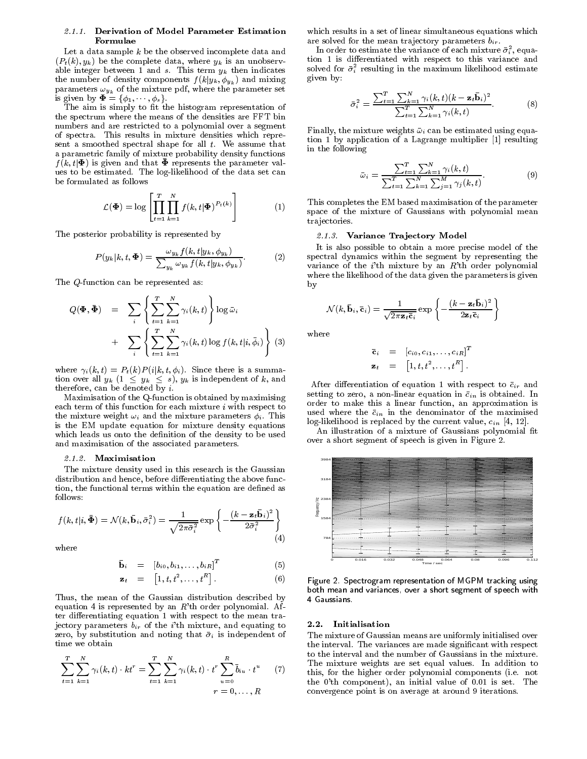#### 2.1.1. Derivation of Model Parameter Estimation Formulae

Let a data sample  $k$  be the observed incomplete data and  $(P_t(k), y_k)$  be the complete data, where  $y_k$  is an unobservable integer between 1 and s. This term  $y_k$  then indicates the number of density components  $f(k|y_k, \phi_{y_k})$  and mixing parameters  $\omega_{y_k}$  of the mixture pdf, where the parameter set is given by  $\mathbf{\Phi} = {\phi_1, \cdots, \phi_s}.$ 

The aim is simply to fit the histogram representation of the spectrum where the means of the densities are FFT bin numbers and are restricted to a polynomial over a segment of spectra. This results in mixture densities which repre sent a smoothed spectral shape for all  $t$ . We assume that a parametric family of mixture probability density functions  $f(k, t | \mathbf{\Phi})$  is given and that  $\mathbf{\Phi}$  represents the parameter values to be estimated. The log-likelihood of the data set can be formulated as follows

$$
\mathcal{L}(\mathbf{\Phi}) = \log \left[ \prod_{t=1}^{T} \prod_{k=1}^{N} f(k, t | \mathbf{\Phi})^{P_t(k)} \right] \tag{1}
$$

The posterior probability is represented by

$$
P(y_k|k,t,\boldsymbol{\Phi}) = \frac{\omega_{y_k} f(k,t|y_k,\phi_{y_k})}{\sum_{y_k} \omega_{y_k} f(k,t|y_k,\phi_{y_k})}.
$$
 (2) s

The Q-function can be represented as:

$$
Q(\mathbf{\Phi}, \bar{\mathbf{\Phi}}) = \sum_{i} \left\{ \sum_{t=1}^{T} \sum_{k=1}^{N} \gamma_i(k, t) \right\} \log \bar{\omega}_i
$$
  
+ 
$$
\sum_{i} \left\{ \sum_{t=1}^{T} \sum_{k=1}^{N} \gamma_i(k, t) \log f(k, t | i, \bar{\phi}_i) \right\} (3)
$$
 where

where  $\gamma_i(k, t) = P_t(k)P(i|k, t, \phi_i)$ . Since there is a summation over all  $y_k$   $(1 \leq y_k \leq s)$ ,  $y_k$  is independent of k, and therefore, can be denoted by  $i$ .

Maximisation of the Q-function is obtained by maximising each term of this function for each mixture  $i$  with respect to the mixture weight  $\omega_i$  and the mixture parameters  $\phi_i$ . This is the EM update equation for mixture density equations which leads us onto the definition of the density to be used and maximisation of the associated parameters.

#### $2.1.2.1$  maximization views  $2.2.1$

The mixture density used in this research is the Gaussian distribution and hence, before differentiating the above function, the functional terms within the equation are defined as follows:

$$
f(k, t|i, \bar{\Phi}) = \mathcal{N}(k, \bar{\mathbf{b}}_i, \bar{\sigma}_i^2) = \frac{1}{\sqrt{2\pi\bar{\sigma}_i^2}} \exp\left\{-\frac{(k - \mathbf{z}_i \bar{\mathbf{b}}_i)^2}{2\bar{\sigma}_i^2}\right\}
$$
(4)

where

$$
\mathbf{\bar{b}}_i = [b_{i0}, b_{i1}, \dots, b_{iR}]^T \qquad (5)
$$

$$
\mathbf{z}_t = [1, t, t^2, \dots, t^R]. \tag{6}
$$

Thus, the mean of the Gaussian distribution described by equation 4 is represented by an <sup>R</sup>'th order polynomial. After differentiating equation 1 with respect to the mean trajectory parameters  $b_{ir}$  of the i'th mixture, and equating to zero, by substitution and noting that  $\bar{\sigma}_i$  is independent of time we obtain

$$
\sum_{t=1}^{T} \sum_{k=1}^{N} \gamma_i(k, t) \cdot kt^r = \sum_{t=1}^{T} \sum_{k=1}^{N} \gamma_i(k, t) \cdot t^r \sum_{u=0}^{R} \bar{b}_{iu} \cdot t^u \qquad (7) \qquad \begin{array}{c} \vdots \\ \dagger \\ t \\ \hline \end{array}
$$

which results in a set of linear simultaneous equations which are solved for the mean trajectory parameters  $b_{ir}$ .

In order to estimate the variance of each mixture  $\sigma_i^-,$  equation 1 is differentiated with respect to this variance and solved for  $\sigma_i$  resulting in the maximum likelihood estimate given by:

$$
\bar{\sigma}_i^2 = \frac{\sum_{t=1}^T \sum_{k=1}^N \gamma_i(k, t)(k - \mathbf{z}_t \bar{\mathbf{b}}_i)^2}{\sum_{t=1}^T \sum_{k=1}^N \gamma_i(k, t)}.
$$
 (8)

Finally, the mixture weights  $\bar{\omega}_i$  can be estimated using equation 1 by application of a Lagrange multiplier [1] resulting in the following

$$
\bar{\omega}_i = \frac{\sum_{t=1}^T \sum_{k=1}^N \gamma_i(k, t)}{\sum_{t=1}^T \sum_{k=1}^N \sum_{j=1}^M \gamma_j(k, t)}.
$$
(9)

 $\zeta^{-1}$  space of the mixture of Gaussians with polynomial mean This completes the EM based maximisation of the parameter trajectories.

#### 2.1.3. Variance Tra jectory Model

It is also possible to obtain a more precise model of the spectral dynamics within the segment by representing the variance of the  $i$ 'th mixture by an  $R$ 'th order polynomial where the likelihood of the data given the parameters is given  $\mathbf{b}$  by a set of  $\mathbf{b}$  by a set of  $\mathbf{b}$ 

$$
\mathcal{N}(k, \mathbf{\bar{b}}_i, \mathbf{\bar{c}}_i) = \frac{1}{\sqrt{2\pi \mathbf{z}_t \mathbf{\bar{c}}_i}} \exp \left\{-\frac{(k - \mathbf{z}_t \mathbf{\bar{b}}_i)^2}{2\mathbf{z}_t \mathbf{\bar{c}}_i}\right\}
$$

$$
\begin{array}{rcl}\n\bar{\mathbf{c}}_i &=& [c_{i0}, c_{i1}, \ldots, c_{iR}]^T \\
\mathbf{z}_t &=& \left[1, t, t^2, \ldots, t^R\right].\n\end{array}
$$

After differentiation of equation 1 with respect to  $\bar{c}_{ir}$  and setting to zero, a non-linear equation in  $\bar{c}_{in}$  is obtained. In order to make this a linear function, an approximation is used where the  $\bar{c}_{in}$  in the denominator of the maximised log-likelihood is replaced by the current value,  $c_{in}$  [4, 12].

An illustration of a mixture of Gaussians polynomial fit over a short segment of speech is given in Figure 2.



Figure 2. Spectrogram representation of MGPM tracking using both mean and variances, over a short segment of speech with4 Gaussians.

#### 2.2. Initialisation

 $\langle \cdot \rangle$  this, for the higher order polynomial components (i.e. not The mixture of Gaussian means are uniformly initialised over the interval. The variances are made signicant with respect to the interval and the number of Gaussians in the mixture. The mixture weights are set equal values. In addition to the 0'th component), an initial value of 0.01 is set. The convergence point is on average at around 9 iterations.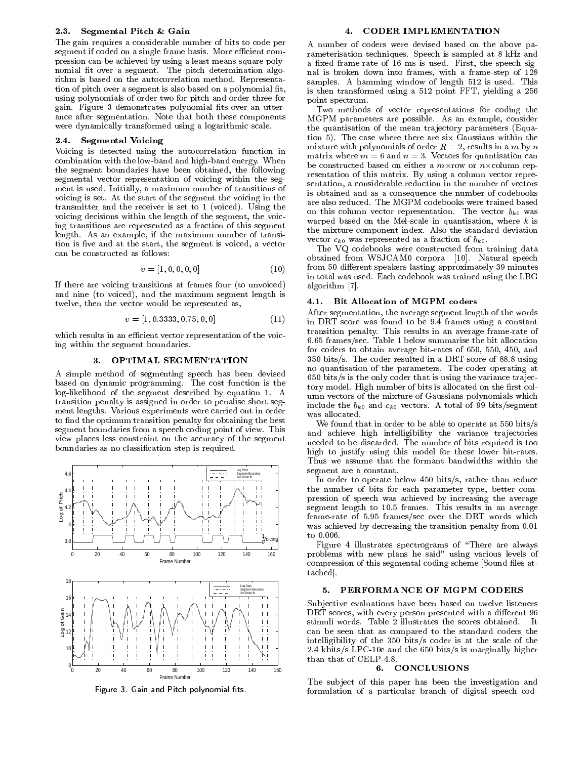#### 2.3. Segmental Pitch & Gain

The gain requires a considerable number of bits to code per segment if coded on a single frame basis. More efficient compression can be achieved by using a least means square polynomial fit over a segment. The pitch determination algorithm is based on the autocorrelation method. Representation of pitch over a segment is also based on a polynomial fit, using polynomials of order two for pitch and order three for gain. Figure 3 demonstrates polynomial fits over an utterance after segmentation. Note that both these components were dynamically transformed using a logarithmic scale.

# 2.4. Segmental Voicing

Voicing is detected using the autocorrelation function in combination with the low-band and high-band energy. When the segment boundaries have been obtained, the following segmental vector representation of voicing within the seg ment is used. Initially, a maximum number of transitions of voicing is set. At the start of the segment the voicing in the transmitter and the receiver is set to 1 (voiced). Using the voicing decisions within the length of the segment, the voicing transitions are represented as a fraction of this segment length. As an example, if the maximum number of transition is five and at the start, the segment is voiced, a vector can be constructed as follows:

$$
v = [1, 0, 0, 0, 0] \tag{10} \tag{11}
$$

If there are voicing transitions at frames four (to unvoiced) and nine (to voiced), and the maximum segment length is twelve, then the vector would be represented as,

$$
v = [1, 0.3333, 0.75, 0, 0] \tag{11}
$$

which results in an efficient vector representation of the voicing within the segment boundaries.

### 3. OPTIMAL SEGMENTATION

A simple method of segmenting speech has been devised based on dynamic programming. The cost function is the log-likelihood of the segment described by equation 1. A transition penalty is assigned in order to penalise short seg ment lengths. Various experiments were carried out in order to find the optimum transition penalty for obtaining the best segment boundaries from a speech coding point of view. This view places less constraint on the accuracy of the segment boundaries as no classication step is required.



Figure 3. Gain and Pitch polynomial ts.

#### 4. CODER IMPLEMENTATION  $4.$

A number of coders were devised based on the above parameterisation techniques. Speech is sampled at 8 kHz and a fixed frame-rate of 16 ms is used. First, the speech signal is broken down into frames, with a frame-step of 128 samples. A hamming window of length 512 is used. This is then transformed using a 512 point FFT, yielding a 256 point spectrum.

Two methods of vector representations for coding the MGPM parameters are possible. As an example, consider the quantisation of the mean trajectory parameters (Equation 5). The case where there are six Gaussians within the mixture with polynomials of order  $R = 2$ , results in a m by n matrix where  $m = 6$  and  $n = 3$ . Vectors for quantisation can be constructed based on either a m-row or n-column rep resentation of this matrix. By using a column vector repre sentation, a considerable reduction in the number of vectors is obtained and as a consequence the number of codebooks are also reduced. The MGPM codebooks were trained based on this column vector representation. The vector  $b_{k0}$  was warped based on the Mel-scale in quantisation, where  $k$  is the mixture component index. Also the standard deviation vector  $c_{k0}$  was represented as a fraction of  $b_{k0}$ .

The VQ codebooks were constructed from training data obtained from WSJCAM0 corpora [10]. Natural speech from 50 different speakers lasting approximately 39 minutes in total was used. Each codebook was trained using the LBG algorithm [7].

## 4.1. Bit Allocation of MGPM coders

After segmentation, the average segment length of the words in DRT score was found to be 9.4 frames using a constant transition penalty. This results in an average frame-rate of 6.65 frames/sec. Table 1 below summarise the bit allocation for coders to obtain average bit-rates of 650, 550, 450, and 350 bits/s. The coder resulted in a DRT score of 88.8 using no quantisation of the parameters. The coder operating at  $650$  bits/s is the only coder that is using the variance trajectory model. High number of bits is allocated on the first column vectors of the mixture of Gaussians polynomials which include the  $b_{k0}$  and  $c_{k0}$  vectors. A total of 99 bits/segment was allocated.

We found that in order to be able to operate at 550 bits/s and achieve high intelligibility the variance trajectories needed to be discarded. The number of bits required is too high to justify using this model for these lower bit-rates. Thus we assume that the formant bandwidths within the segment are a constant.

In order to operate below 450 bits/s, rather than reduce the number of bits for each parameter type, better com pression of speech was achieved by increasing the average segment length to 10.5 frames. This results in an average frame-rate of 5.95 frames/sec over the DRT words which was achieved by decreasing the transition penalty from 0.01 to 0.006.

Figure 4 illustrates spectrograms of \There are always problems with new plans he said" using various levels of compression of this segmental coding scheme [Sound files attached].

# 5. PERFORMANCE OF MGPM CODERS

Subjective evaluations have been based on twelve listeners DRT scores, with every person presented with a dierent 96 can be seen that as compared to the standard coders the intelligibility of the 350 bits/s coder is at the scale of the 2.4 kbits/s LPC-10e and the 650 bits/s is marginally higher than that of CELP-4.8.

#### 6. CONCLUSIONS

The subject of this paper has been the investigation and formulation of a particular branch of digital speech cod-